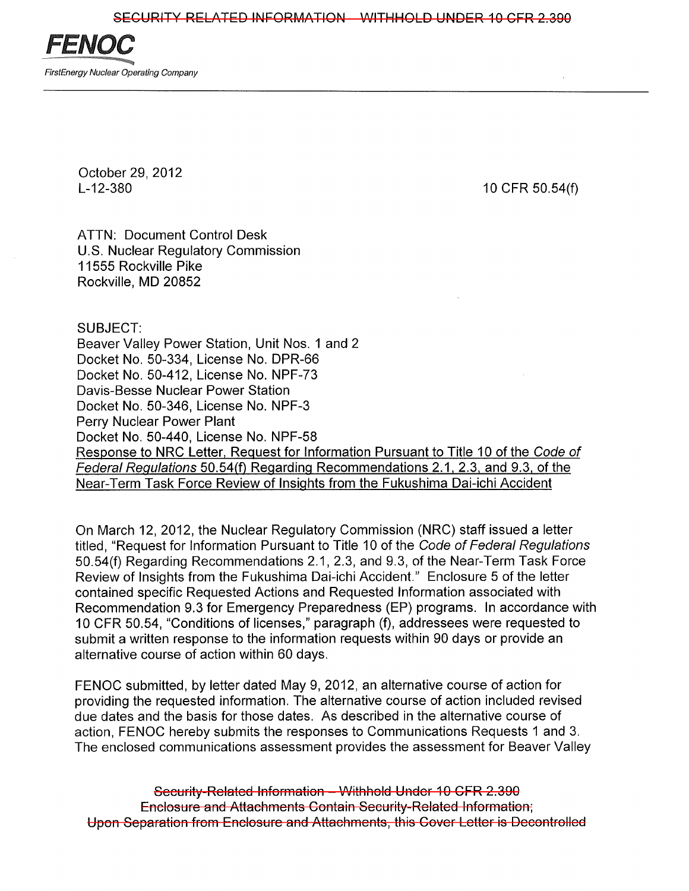

October 29,2012 L-12-380

10 CFR 50.54(f)

ATTN: Document Control Desk U.S. Nuclear Regulatory Commission 11555 Rockville Pike Rockville, MD 20852

SUBJECT:

Beaver Valley Power Station, Unit Nos. 1 and 2 Docket No. 50-334, License No. DPR-66 Docket No. 50-412, License No. NPF-73 Davis-Besse Nuclear Power Station Docket No. 50-346, License No. NPF-3 Perry Nuclear Power Plant Docket No. 50-440, License No. NPF-58 Response to NRC Letter, Request for Information Pursuant to Title 10 of the Code of Federal Regulations 50.54(f) Regarding Recommendations 2.1,2.3, and 9.3, of the Near-Term Task Force Review of Insights from the Fukushima Dai-ichi Accident

On March 12,2012, the Nuclear Regulatory Commission (NRC) staff issued a letter titled, "Request for Information Pursuant to Title 10 of the Code of Federal Regulations 50.54(f) Regarding Recommendations 2.1,2.3, and 9.3, of the Near-Term Task Force Review of Insights from the Fukushima Dai-ichi Accident." Enclosure 5 of the letter contained specific Requested Actions and Requested Information associated with Recommendation 9.3 for Emergency Preparedness (EP) programs. In accordance with 10 CFR 50.54, "Conditions of licenses," paragraph (f), addressees were requested to submit a written response to the information requests within 90 days or provide an alternative course of action within 60 days.

FENOC submitted, by letter dated May 9,2012, an alternative course of action for providing the requested information. The alternative course of action included revised due dates and the basis for those dates. As described in the alternative course of action, FENOC hereby submits the responses to Communications Requests 1 and 3. The enclosed communications assessment provides the assessment for Beaver Valley

Security-Related Information - Withhold Under 10 CFR 2.390 Enclosure and Attachments Contain Security-Related Information; Upon Separation from Enclosure and Attachments, this Cover Letter is Decontrolled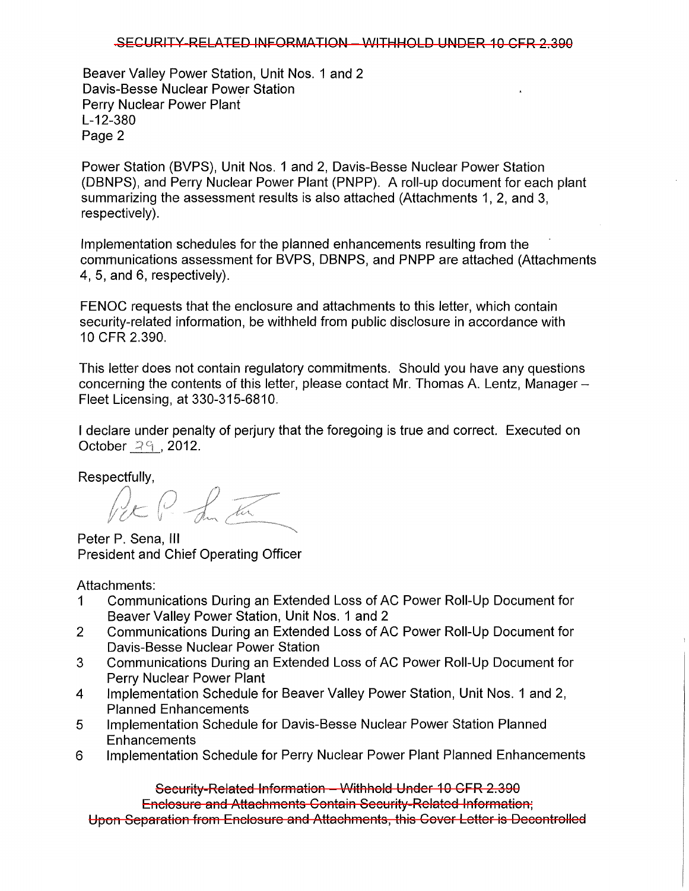## ,sECURITY-RELATED INFORMATION - WITHHOLD UNDER 10 CFR 2.390

Beaver Valley Power Station, Unit Nos. 1 and 2 Davis-Besse Nuclear Power Station Perry Nuclear Power Plant L-12-380 Page 2

Power Station (BVPS), Unit Nos. 1 and 2, Davis-Besse Nuclear Power Station (DBNPS), and Perry Nuclear Power Plant (PNPP). A roll-up document for each plant summarizing the assessment results is also attached (Attachments 1, 2, and 3, respectively).

Implementation schedules for the planned enhancements resulting from the communications assessment for BVPS, DBNPS, and PNPP are attached (Attachments 4, 5, and 6, respectively).

FENOC requests that the enclosure and attachments to this letter, which contain security-related information, be withheld from public disclosure in accordance with 10 CFR 2.390.

This letter does not contain regulatory commitments. Should you have any questions concerning the contents of this letter, please contact Mr. Thomas A. Lentz, Manager-Fleet Licensing, at 330-315-6810.

I declare under penalty of perjury that the foregoing is true and correct. Executed on October  $29$ , 2012.

Respectfully,<br> $\oint_{\mathcal{L}} \oint_{\mathcal{L}} \oint_{\mathcal{L}} \overline{\mathcal{L}}$ 

Peter P. Sena, III President and Chief Operating Officer

Attachments:

- 1 Communications During an Extended Loss of AC Power Roll-Up Document for Beaver Valley Power Station, Unit Nos. 1 and 2
- 2 Communications During an Extended Loss of AC Power Roll-Up Document for Davis-Besse Nuclear Power Station
- 3 Communications During an Extended Loss of AC Power Roll-Up Document for Perry Nuclear Power Plant
- 4 Implementation Schedule for Beaver Valley Power Station, Unit Nos. 1 and 2, Planned Enhancements
- 5 Implementation Schedule for Davis-Besse Nuclear Power Station Planned **Enhancements**
- 6 Implementation Schedule for Perry Nuclear Power Plant Planned Enhancements

Security-Related Information - Withhold Under 10 CFR 2.390 Enclosure and Attachments Contain Security-Related Information; Upon Separation from Enclosure and Attachments, this Cover Letter is Decontrolled